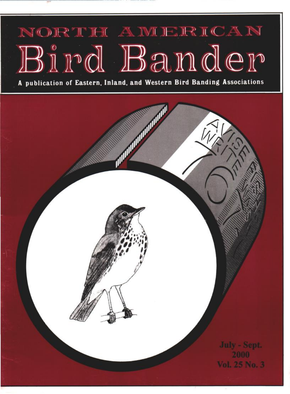## NORTH AMERICAN Bird Bander

A publication of Eastern, Inland, and Western Bird Banding Associations